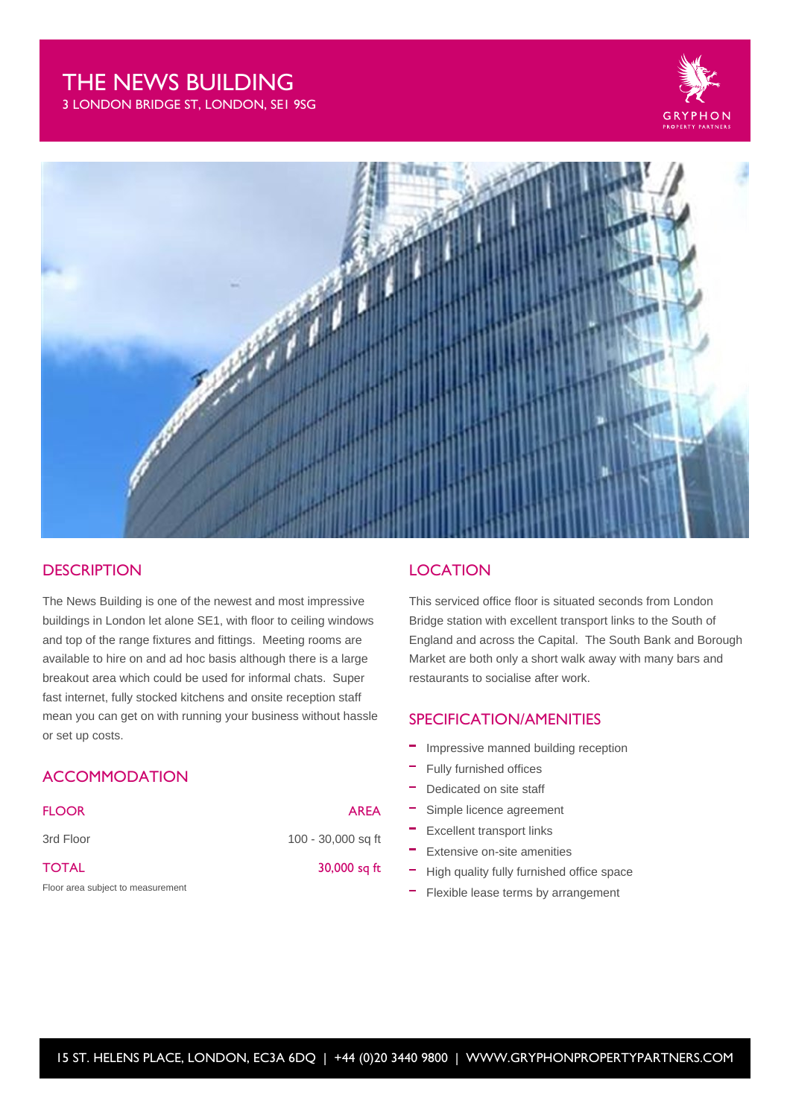# THE NEWS BUILDING

3 LONDON BRIDGE ST, LONDON, SE1 9SG





## **DESCRIPTION**

The News Building is one of the newest and most impressive buildings in London let alone SE1, with floor to ceiling windows and top of the range fixtures and fittings. Meeting rooms are available to hire on and ad hoc basis although there is a large breakout area which could be used for informal chats. Super fast internet, fully stocked kitchens and onsite reception staff mean you can get on with running your business without hassle or set up costs.

# **ACCOMMODATION**

| <b>FLOOR</b>                      | <b>AREA</b>        |
|-----------------------------------|--------------------|
| 3rd Floor                         | 100 - 30,000 sq ft |
| <b>TOTAL</b>                      | 30,000 sq ft       |
| Floor area subject to measurement |                    |

# **LOCATION**

This serviced office floor is situated seconds from London Bridge station with excellent transport links to the South of England and across the Capital. The South Bank and Borough Market are both only a short walk away with many bars and restaurants to socialise after work.

## SPECIFICATION/AMENITIES

- Impressive manned building reception
- Fully furnished offices
- Dedicated on site staff
- Simple licence agreement
- Excellent transport links
- Extensive on-site amenities
- High quality fully furnished office space
- Flexible lease terms by arrangement